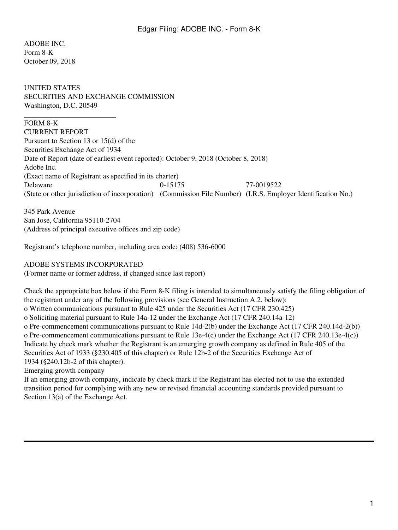ADOBE INC. Form 8-K October 09, 2018

UNITED STATES SECURITIES AND EXCHANGE COMMISSION Washington, D.C. 20549

## FORM 8-K

\_\_\_\_\_\_\_\_\_\_\_\_\_\_\_\_\_\_\_\_\_\_\_\_\_

CURRENT REPORT Pursuant to Section 13 or 15(d) of the Securities Exchange Act of 1934 Date of Report (date of earliest event reported): October 9, 2018 (October 8, 2018) Adobe Inc. (Exact name of Registrant as specified in its charter) Delaware 0-15175 77-0019522 (State or other jurisdiction of incorporation) (Commission File Number) (I.R.S. Employer Identification No.)

345 Park Avenue San Jose, California 95110-2704 (Address of principal executive offices and zip code)

Registrant's telephone number, including area code: (408) 536-6000

## ADOBE SYSTEMS INCORPORATED

(Former name or former address, if changed since last report)

Check the appropriate box below if the Form 8-K filing is intended to simultaneously satisfy the filing obligation of the registrant under any of the following provisions (see General Instruction A.2. below): o Written communications pursuant to Rule 425 under the Securities Act (17 CFR 230.425) o Soliciting material pursuant to Rule 14a-12 under the Exchange Act (17 CFR 240.14a-12) o Pre-commencement communications pursuant to Rule 14d-2(b) under the Exchange Act (17 CFR 240.14d-2(b)) o Pre-commencement communications pursuant to Rule 13e-4(c) under the Exchange Act (17 CFR 240.13e-4(c)) Indicate by check mark whether the Registrant is an emerging growth company as defined in Rule 405 of the Securities Act of 1933 (§230.405 of this chapter) or Rule 12b-2 of the Securities Exchange Act of 1934 (§240.12b-2 of this chapter). Emerging growth company

If an emerging growth company, indicate by check mark if the Registrant has elected not to use the extended transition period for complying with any new or revised financial accounting standards provided pursuant to Section  $13(a)$  of the Exchange Act.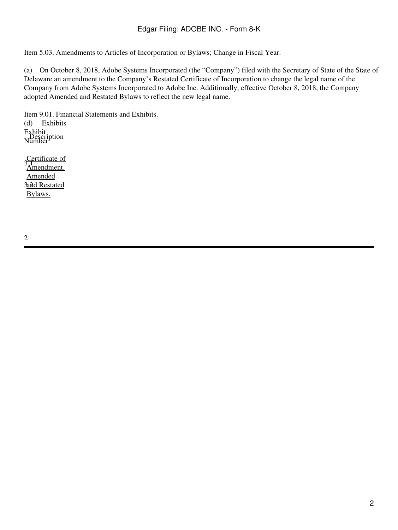Item 5.03. Amendments to Articles of Incorporation or Bylaws; Change in Fiscal Year.

(a) On October 8, 2018, Adobe Systems Incorporated (the "Company") filed with the Secretary of State of the State of Delaware an amendment to the Company's Restated Certificate of Incorporation to change the legal name of the Company from Adobe Systems Incorporated to Adobe Inc. Additionally, effective October 8, 2018, the Company adopted Amended and Restated Bylaws to reflect the new legal name.

Item 9.01. Financial Statements and Exhibits. (d) Exhibits Exhibit<br>Description<br>Number

S<sub>1</sub><br>3.1<sub>d</sub><br>Amendment. **3<u>and Restated</u>** Amended Bylaws.